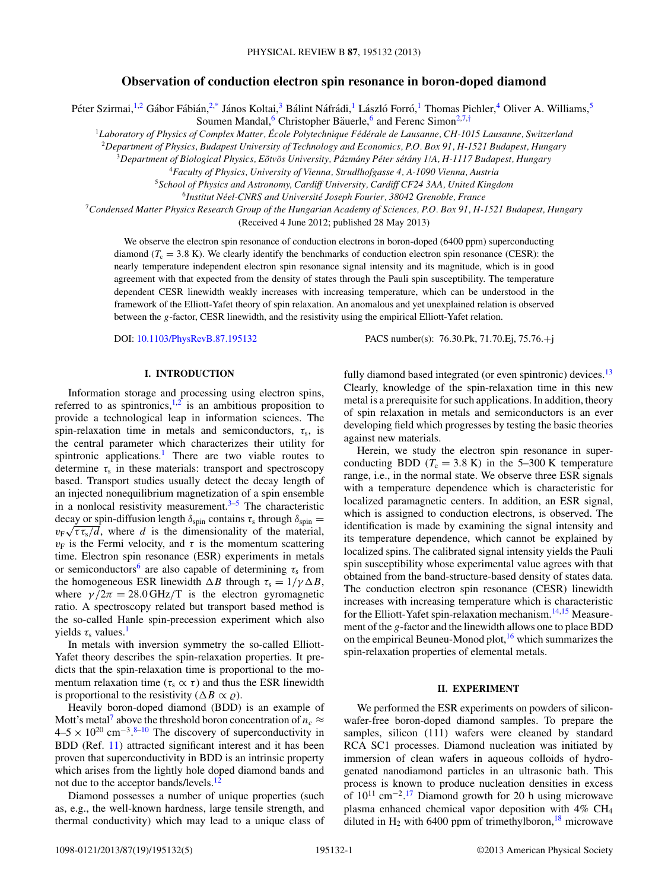# **Observation of conduction electron spin resonance in boron-doped diamond**

Péter Szirmai, <sup>1,2</sup> Gábor Fábián,<sup>2[,\\*](#page-3-0)</sup> János Koltai,<sup>3</sup> Bálint Náfrádi,<sup>1</sup> László Forró,<sup>1</sup> Thomas Pichler,<sup>4</sup> Oliver A. Williams,<sup>5</sup>

Soumen Mandal, <sup>6</sup> Christopher Bäuerle,  $\frac{6}{3}$  and Ferenc Simon<sup>2,7,[†](#page-3-0)</sup>

<sup>1</sup>*Laboratory of Physics of Complex Matter, Ecole Polytechnique F ´ ed´ erale de Lausanne, CH-1015 Lausanne, Switzerland ´*

<sup>2</sup>*Department of Physics, Budapest University of Technology and Economics, P.O. Box 91, H-1521 Budapest, Hungary*

<sup>3</sup>*Department of Biological Physics, Eotv ¨ os University, P ¨ azm´ any P ´ eter s ´ et´ any 1/A, H-1117 Budapest, Hungary ´*

<sup>4</sup>*Faculty of Physics, University of Vienna, Strudlhofgasse 4, A-1090 Vienna, Austria*

<sup>5</sup>*School of Physics and Astronomy, Cardiff University, Cardiff CF24 3AA, United Kingdom*

<sup>6</sup>*Institut Neel-CNRS and Universit ´ e Joseph Fourier, 38042 Grenoble, France ´*

<sup>7</sup>*Condensed Matter Physics Research Group of the Hungarian Academy of Sciences, P.O. Box 91, H-1521 Budapest, Hungary*

(Received 4 June 2012; published 28 May 2013)

We observe the electron spin resonance of conduction electrons in boron-doped (6400 ppm) superconducting diamond  $(T_c = 3.8 \text{ K})$ . We clearly identify the benchmarks of conduction electron spin resonance (CESR): the nearly temperature independent electron spin resonance signal intensity and its magnitude, which is in good agreement with that expected from the density of states through the Pauli spin susceptibility. The temperature dependent CESR linewidth weakly increases with increasing temperature, which can be understood in the framework of the Elliott-Yafet theory of spin relaxation. An anomalous and yet unexplained relation is observed between the *g*-factor, CESR linewidth, and the resistivity using the empirical Elliott-Yafet relation.

DOI: [10.1103/PhysRevB.87.195132](http://dx.doi.org/10.1103/PhysRevB.87.195132) PACS number(s): 76*.*30*.*Pk, 71*.*70*.*Ej, 75*.*76*.*+j

## **I. INTRODUCTION**

Information storage and processing using electron spins, referred to as spintronics,  $1,2$  is an ambitious proposition to provide a technological leap in information sciences. The spin-relaxation time in metals and semiconductors,  $\tau_s$ , is the central parameter which characterizes their utility for spintronic applications.<sup>[1](#page-3-0)</sup> There are two viable routes to determine  $\tau_s$  in these materials: transport and spectroscopy based. Transport studies usually detect the decay length of an injected nonequilibrium magnetization of a spin ensemble in a nonlocal resistivity measurement. $3-5$  The characteristic decay or spin-diffusion length  $\delta_{spin}$  contains  $\tau_s$  through  $\delta_{spin}$  =  $v_F \sqrt{\tau \tau_s/d}$ , where *d* is the dimensionality of the material,  $v_F$  is the Fermi velocity, and  $\tau$  is the momentum scattering time. Electron spin resonance (ESR) experiments in metals or semiconductors<sup>[6](#page-3-0)</sup> are also capable of determining  $\tau_s$  from the homogeneous ESR linewidth  $\Delta B$  through  $\tau_s = 1/\gamma \Delta B$ , where  $\gamma/2\pi = 28.0 \text{ GHz/T}$  is the electron gyromagnetic ratio. A spectroscopy related but transport based method is the so-called Hanle spin-precession experiment which also yields  $τ_s$  values.<sup>[1](#page-3-0)</sup>

In metals with inversion symmetry the so-called Elliott-Yafet theory describes the spin-relaxation properties. It predicts that the spin-relaxation time is proportional to the momentum relaxation time ( $\tau_s \propto \tau$ ) and thus the ESR linewidth is proportional to the resistivity ( $\Delta B \propto \varrho$ ).

Heavily boron-doped diamond (BDD) is an example of Mott's metal<sup>[7](#page-3-0)</sup> above the threshold boron concentration of  $n_c \approx$  $4-5 \times 10^{20}$  cm<sup>-3.8-10</sup> The discovery of superconductivity in BDD (Ref. [11\)](#page-3-0) attracted significant interest and it has been proven that superconductivity in BDD is an intrinsic property which arises from the lightly hole doped diamond bands and not due to the acceptor bands/levels.<sup>[12](#page-3-0)</sup>

Diamond possesses a number of unique properties (such as, e.g., the well-known hardness, large tensile strength, and thermal conductivity) which may lead to a unique class of fully diamond based integrated (or even spintronic) devices. $13$ Clearly, knowledge of the spin-relaxation time in this new metal is a prerequisite for such applications. In addition, theory of spin relaxation in metals and semiconductors is an ever developing field which progresses by testing the basic theories against new materials.

Herein, we study the electron spin resonance in superconducting BDD  $(T_c = 3.8 \text{ K})$  in the 5–300 K temperature range, i.e., in the normal state. We observe three ESR signals with a temperature dependence which is characteristic for localized paramagnetic centers. In addition, an ESR signal, which is assigned to conduction electrons, is observed. The identification is made by examining the signal intensity and its temperature dependence, which cannot be explained by localized spins. The calibrated signal intensity yields the Pauli spin susceptibility whose experimental value agrees with that obtained from the band-structure-based density of states data. The conduction electron spin resonance (CESR) linewidth increases with increasing temperature which is characteristic for the Elliott-Yafet spin-relaxation mechanism.<sup>[14,15](#page-3-0)</sup> Measurement of the *g*-factor and the linewidth allows one to place BDD on the empirical Beuneu-Monod plot, $16$  which summarizes the spin-relaxation properties of elemental metals.

#### **II. EXPERIMENT**

We performed the ESR experiments on powders of siliconwafer-free boron-doped diamond samples. To prepare the samples, silicon (111) wafers were cleaned by standard RCA SC1 processes. Diamond nucleation was initiated by immersion of clean wafers in aqueous colloids of hydrogenated nanodiamond particles in an ultrasonic bath. This process is known to produce nucleation densities in excess of  $10^{11}$  cm<sup>-2</sup>.<sup>[17](#page-4-0)</sup> Diamond growth for 20 h using microwave plasma enhanced chemical vapor deposition with 4% CH4 diluted in  $H_2$  with 6400 ppm of trimethylboron,<sup>[18](#page-4-0)</sup> microwave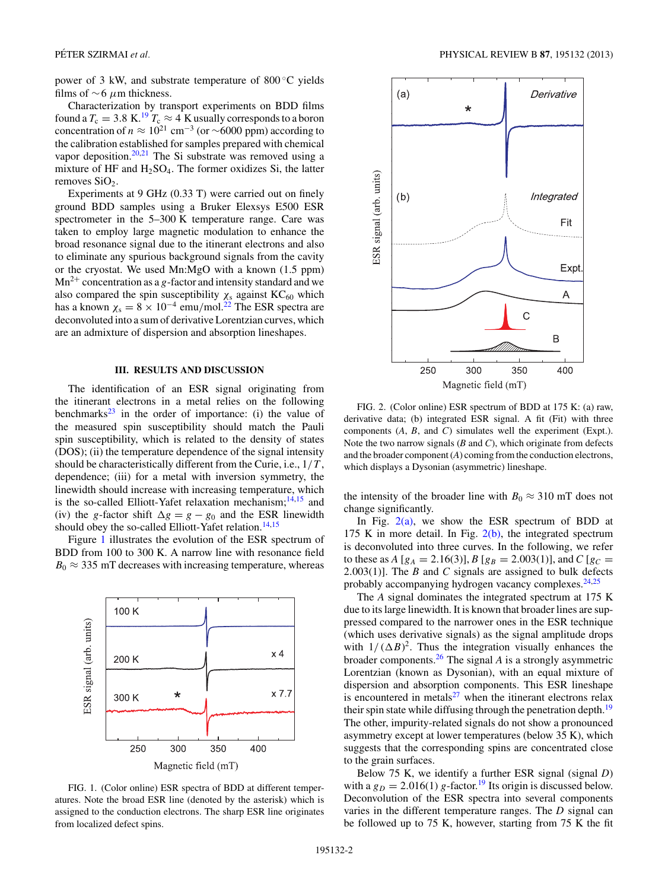power of 3 kW, and substrate temperature of 800 ◦C yields films of ∼6 *μ*m thickness.

Characterization by transport experiments on BDD films found a  $T_c = 3.8 \text{ K}^{19} T_c \approx 4 \text{ K}$  $T_c = 3.8 \text{ K}^{19} T_c \approx 4 \text{ K}$  $T_c = 3.8 \text{ K}^{19} T_c \approx 4 \text{ K}$  usually corresponds to a boron concentration of *n*  $\approx 10^{21}$  cm<sup>-3</sup> (or ~6000 ppm) according to the calibration established for samples prepared with chemical vapor deposition. $20,21$  The Si substrate was removed using a mixture of HF and  $H_2SO_4$ . The former oxidizes Si, the latter removes  $SiO<sub>2</sub>$ .

Experiments at 9 GHz (0.33 T) were carried out on finely ground BDD samples using a Bruker Elexsys E500 ESR spectrometer in the 5–300 K temperature range. Care was taken to employ large magnetic modulation to enhance the broad resonance signal due to the itinerant electrons and also to eliminate any spurious background signals from the cavity or the cryostat. We used Mn:MgO with a known (1.5 ppm)  $Mn^{2+}$  concentration as a *g*-factor and intensity standard and we also compared the spin susceptibility  $\chi_s$  against KC<sub>60</sub> which has a known  $\chi_s = 8 \times 10^{-4}$  emu/mol.<sup>[22](#page-4-0)</sup> The ESR spectra are deconvoluted into a sum of derivative Lorentzian curves, which are an admixture of dispersion and absorption lineshapes.

#### **III. RESULTS AND DISCUSSION**

The identification of an ESR signal originating from the itinerant electrons in a metal relies on the following benchmarks $^{23}$  $^{23}$  $^{23}$  in the order of importance: (i) the value of the measured spin susceptibility should match the Pauli spin susceptibility, which is related to the density of states (DOS); (ii) the temperature dependence of the signal intensity should be characteristically different from the Curie, i.e., 1*/T* , dependence; (iii) for a metal with inversion symmetry, the linewidth should increase with increasing temperature, which is the so-called Elliott-Yafet relaxation mechanism; $14,15$  and (iv) the *g*-factor shift  $\Delta g = g - g_0$  and the ESR linewidth should obey the so-called Elliott-Yafet relation.<sup>[14,15](#page-3-0)</sup>

Figure 1 illustrates the evolution of the ESR spectrum of BDD from 100 to 300 K. A narrow line with resonance field  $B_0 \approx 335$  mT decreases with increasing temperature, whereas



FIG. 1. (Color online) ESR spectra of BDD at different temperatures. Note the broad ESR line (denoted by the asterisk) which is assigned to the conduction electrons. The sharp ESR line originates from localized defect spins.



FIG. 2. (Color online) ESR spectrum of BDD at 175 K: (a) raw, derivative data; (b) integrated ESR signal. A fit (Fit) with three components (*A*, *B*, and *C*) simulates well the experiment (Expt.). Note the two narrow signals (*B* and *C*), which originate from defects and the broader component (*A*) coming from the conduction electrons, which displays a Dysonian (asymmetric) lineshape.

the intensity of the broader line with  $B_0 \approx 310$  mT does not change significantly.

In Fig.  $2(a)$ , we show the ESR spectrum of BDD at 175 K in more detail. In Fig.  $2(b)$ , the integrated spectrum is deconvoluted into three curves. In the following, we refer to these as *A*  $[g_A = 2.16(3)]$ , *B*  $[g_B = 2.003(1)]$ , and *C*  $[g_C =$ 2*.*003(1)]. The *B* and *C* signals are assigned to bulk defects probably accompanying hydrogen vacancy complexes.[24,25](#page-4-0)

The *A* signal dominates the integrated spectrum at 175 K due to its large linewidth. It is known that broader lines are suppressed compared to the narrower ones in the ESR technique (which uses derivative signals) as the signal amplitude drops with  $1/(\Delta B)^2$ . Thus the integration visually enhances the broader components[.26](#page-4-0) The signal *A* is a strongly asymmetric Lorentzian (known as Dysonian), with an equal mixture of dispersion and absorption components. This ESR lineshape is encountered in metals $^{27}$  when the itinerant electrons relax their spin state while diffusing through the penetration depth.<sup>19</sup> The other, impurity-related signals do not show a pronounced asymmetry except at lower temperatures (below 35 K), which suggests that the corresponding spins are concentrated close to the grain surfaces.

Below 75 K, we identify a further ESR signal (signal *D*) with a  $g_D = 2.016(1)$  *g*-factor.<sup>[19](#page-4-0)</sup> Its origin is discussed below. Deconvolution of the ESR spectra into several components varies in the different temperature ranges. The *D* signal can be followed up to 75 K, however, starting from 75 K the fit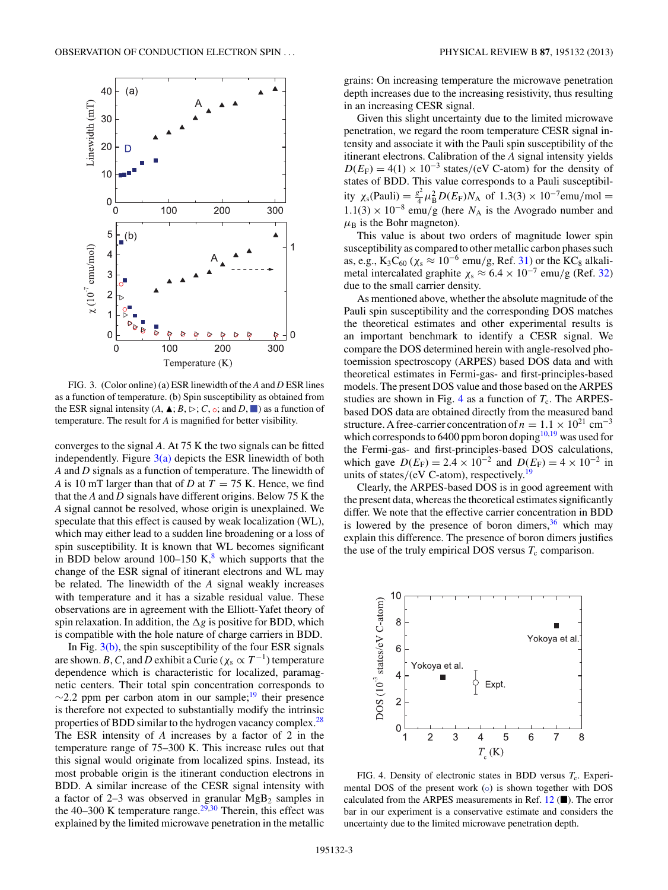

FIG. 3. (Color online) (a) ESR linewidth of the *A* and *D* ESR lines as a function of temperature. (b) Spin susceptibility as obtained from the ESR signal intensity  $(A, \triangle; B, \triangleright; C, \circ; \text{and } D, \blacksquare)$  as a function of temperature. The result for *A* is magnified for better visibility.

converges to the signal *A*. At 75 K the two signals can be fitted independently. Figure  $3(a)$  depicts the ESR linewidth of both *A* and *D* signals as a function of temperature. The linewidth of *A* is 10 mT larger than that of *D* at  $T = 75$  K. Hence, we find that the *A* and *D* signals have different origins. Below 75 K the *A* signal cannot be resolved, whose origin is unexplained. We speculate that this effect is caused by weak localization (WL), which may either lead to a sudden line broadening or a loss of spin susceptibility. It is known that WL becomes significant in BDD below around 100–150 K, $\frac{8}{3}$  $\frac{8}{3}$  $\frac{8}{3}$  which supports that the change of the ESR signal of itinerant electrons and WL may be related. The linewidth of the *A* signal weakly increases with temperature and it has a sizable residual value. These observations are in agreement with the Elliott-Yafet theory of spin relaxation. In addition, the  $\Delta g$  is positive for BDD, which is compatible with the hole nature of charge carriers in BDD.

In Fig.  $3(b)$ , the spin susceptibility of the four ESR signals are shown. *B*, *C*, and *D* exhibit a Curie ( $\chi$ <sub>s</sub>  $\propto T^{-1}$ ) temperature dependence which is characteristic for localized, paramagnetic centers. Their total spin concentration corresponds to  $\sim$ 2.2 ppm per carbon atom in our sample;<sup>19</sup> their presence is therefore not expected to substantially modify the intrinsic properties of BDD similar to the hydrogen vacancy complex.<sup>[28](#page-4-0)</sup> The ESR intensity of *A* increases by a factor of 2 in the temperature range of 75–300 K. This increase rules out that this signal would originate from localized spins. Instead, its most probable origin is the itinerant conduction electrons in BDD. A similar increase of the CESR signal intensity with a factor of  $2-3$  was observed in granular  $MgB_2$  samples in the 40–300 K temperature range.<sup>[29,30](#page-4-0)</sup> Therein, this effect was explained by the limited microwave penetration in the metallic

grains: On increasing temperature the microwave penetration depth increases due to the increasing resistivity, thus resulting in an increasing CESR signal.

Given this slight uncertainty due to the limited microwave penetration, we regard the room temperature CESR signal intensity and associate it with the Pauli spin susceptibility of the itinerant electrons. Calibration of the *A* signal intensity yields  $D(E_F) = 4(1) \times 10^{-3}$  states/(eV C-atom) for the density of states of BDD. This value corresponds to a Pauli susceptibility  $\chi_s$ (Pauli) =  $\frac{g^2}{4}\mu_B^2 D(E_F)N_A$  of  $1.3(3) \times 10^{-7}$ emu/mol =  $1.1(3) \times 10^{-8}$  emu/g (here  $N_A$  is the Avogrado number and  $\mu_B$  is the Bohr magneton).

This value is about two orders of magnitude lower spin susceptibility as compared to other metallic carbon phases such as, e.g., K<sub>3</sub>C<sub>60</sub> ( $\chi$ <sub>s</sub> ≈ 10<sup>-6</sup> emu/g, Ref. [31\)](#page-4-0) or the KC<sub>8</sub> alkalimetal intercalated graphite  $\chi$ <sub>s</sub>  $\approx$  6.4 × 10<sup>-7</sup> emu/g (Ref. [32\)](#page-4-0) due to the small carrier density.

As mentioned above, whether the absolute magnitude of the Pauli spin susceptibility and the corresponding DOS matches the theoretical estimates and other experimental results is an important benchmark to identify a CESR signal. We compare the DOS determined herein with angle-resolved photoemission spectroscopy (ARPES) based DOS data and with theoretical estimates in Fermi-gas- and first-principles-based models. The present DOS value and those based on the ARPES studies are shown in Fig. 4 as a function of  $T_c$ . The ARPESbased DOS data are obtained directly from the measured band structure. A free-carrier concentration of  $n = 1.1 \times 10^{21}$  cm<sup>-3</sup> which corresponds to 6400 ppm boron doping $10,19$  $10,19$  was used for the Fermi-gas- and first-principles-based DOS calculations, which gave  $D(E_F) = 2.4 \times 10^{-2}$  and  $D(E_F) = 4 \times 10^{-2}$  in units of states/(eV C-atom), respectively.<sup>19</sup>

Clearly, the ARPES-based DOS is in good agreement with the present data, whereas the theoretical estimates significantly differ. We note that the effective carrier concentration in BDD is lowered by the presence of boron dimers,  $36$  which may explain this difference. The presence of boron dimers justifies the use of the truly empirical DOS versus  $T_c$  comparison.



FIG. 4. Density of electronic states in BDD versus  $T_c$ . Experimental DOS of the present work  $\circ$ ) is shown together with DOS calculated from the ARPES measurements in Ref.  $12$  ( $\blacksquare$ ). The error bar in our experiment is a conservative estimate and considers the uncertainty due to the limited microwave penetration depth.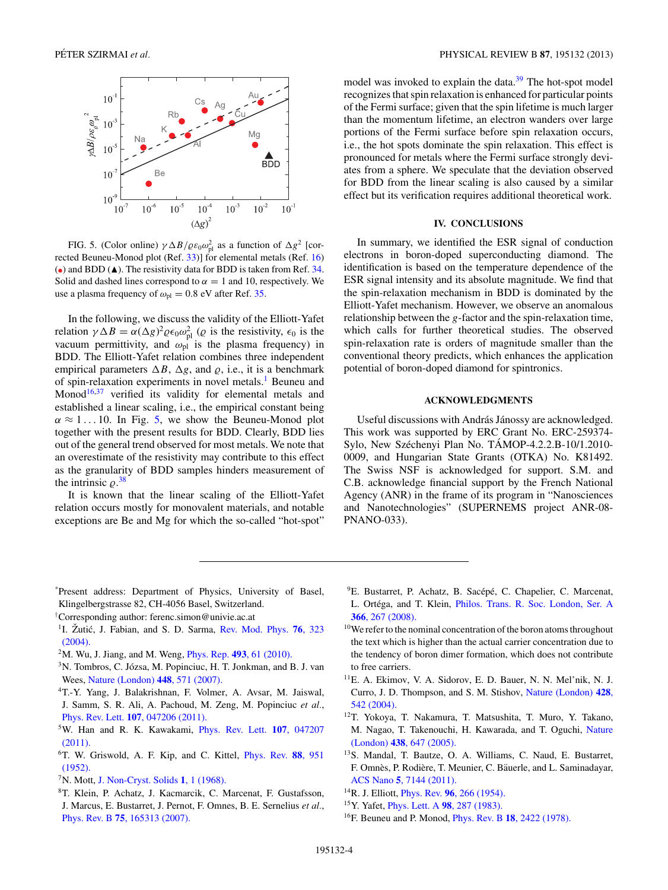<span id="page-3-0"></span>

FIG. 5. (Color online)  $\gamma \Delta B / \varrho \varepsilon_0 \omega_{\text{pl}}^2$  as a function of  $\Delta g^2$  [cor-rected Beuneu-Monod plot (Ref. [33\)](#page-4-0)] for elemental metals (Ref. 16)  $\ddot{\bullet}$ ) and BDD ( $\blacktriangle$ ). The resistivity data for BDD is taken from Ref. [34.](#page-4-0) Solid and dashed lines correspond to  $\alpha = 1$  and 10, respectively. We use a plasma frequency of  $\omega_{\text{pl}} = 0.8 \text{ eV}$  after Ref. [35.](#page-4-0)

In the following, we discuss the validity of the Elliott-Yafet relation  $\gamma \Delta B = \alpha (\Delta g)^2 \varrho \epsilon_0 \omega_{\text{pl}}^2$  ( $\varrho$  is the resistivity,  $\epsilon_0$  is the vacuum permittivity, and  $\omega_{\text{pl}}$  is the plasma frequency) in BDD. The Elliott-Yafet relation combines three independent empirical parameters  $\Delta B$ ,  $\Delta g$ , and  $\rho$ , i.e., it is a benchmark of spin-relaxation experiments in novel metals.<sup>1</sup> Beuneu and Monod $16,37$  $16,37$  verified its validity for elemental metals and established a linear scaling, i.e., the empirical constant being  $\alpha \approx 1...10$ . In Fig. 5, we show the Beuneu-Monod plot together with the present results for BDD. Clearly, BDD lies out of the general trend observed for most metals. We note that an overestimate of the resistivity may contribute to this effect as the granularity of BDD samples hinders measurement of the intrinsic  $\varrho^{38}$  $\varrho^{38}$  $\varrho^{38}$ 

It is known that the linear scaling of the Elliott-Yafet relation occurs mostly for monovalent materials, and notable exceptions are Be and Mg for which the so-called "hot-spot"

model was invoked to explain the data.<sup>[39](#page-4-0)</sup> The hot-spot model recognizes that spin relaxation is enhanced for particular points of the Fermi surface; given that the spin lifetime is much larger than the momentum lifetime, an electron wanders over large portions of the Fermi surface before spin relaxation occurs, i.e., the hot spots dominate the spin relaxation. This effect is pronounced for metals where the Fermi surface strongly deviates from a sphere. We speculate that the deviation observed for BDD from the linear scaling is also caused by a similar effect but its verification requires additional theoretical work.

### **IV. CONCLUSIONS**

In summary, we identified the ESR signal of conduction electrons in boron-doped superconducting diamond. The identification is based on the temperature dependence of the ESR signal intensity and its absolute magnitude. We find that the spin-relaxation mechanism in BDD is dominated by the Elliott-Yafet mechanism. However, we observe an anomalous relationship between the *g*-factor and the spin-relaxation time, which calls for further theoretical studies. The observed spin-relaxation rate is orders of magnitude smaller than the conventional theory predicts, which enhances the application potential of boron-doped diamond for spintronics.

#### **ACKNOWLEDGMENTS**

Useful discussions with András Jánossy are acknowledged. This work was supported by ERC Grant No. ERC-259374- Sylo, New Széchenyi Plan No. TÁMOP-4.2.2.B-10/1.2010-0009, and Hungarian State Grants (OTKA) No. K81492. The Swiss NSF is acknowledged for support. S.M. and C.B. acknowledge financial support by the French National Agency (ANR) in the frame of its program in "Nanosciences and Nanotechnologies" (SUPERNEMS project ANR-08- PNANO-033).

- \* Present address: Department of Physics, University of Basel, Klingelbergstrasse 82, CH-4056 Basel, Switzerland.
- † Corresponding author: ferenc.simon@univie.ac.at
- <sup>1</sup>I. Žutić, J. Fabian, and S. D. Sarma, [Rev. Mod. Phys.](http://dx.doi.org/10.1103/RevModPhys.76.323) **76**, 323 [\(2004\).](http://dx.doi.org/10.1103/RevModPhys.76.323)
- 2M. Wu, J. Jiang, and M. Weng, Phys. Rep. **493**[, 61 \(2010\).](http://dx.doi.org/10.1016/j.physrep.2010.04.002)
- $3N$ . Tombros, C. Józsa, M. Popinciuc, H. T. Jonkman, and B. J. van Wees, [Nature \(London\)](http://dx.doi.org/10.1038/nature06037) **448**, 571 (2007).
- 4T.-Y. Yang, J. Balakrishnan, F. Volmer, A. Avsar, M. Jaiswal, J. Samm, S. R. Ali, A. Pachoud, M. Zeng, M. Popinciuc *et al.*, Phys. Rev. Lett. **107**[, 047206 \(2011\).](http://dx.doi.org/10.1103/PhysRevLett.107.047206)
- 5W. Han and R. K. Kawakami, [Phys. Rev. Lett.](http://dx.doi.org/10.1103/PhysRevLett.107.047207) **107**, 047207 [\(2011\).](http://dx.doi.org/10.1103/PhysRevLett.107.047207)
- 6T. W. Griswold, A. F. Kip, and C. Kittel, [Phys. Rev.](http://dx.doi.org/10.1103/PhysRev.88.951) **88**, 951 [\(1952\).](http://dx.doi.org/10.1103/PhysRev.88.951)
- 7N. Mott, [J. Non-Cryst. Solids](http://dx.doi.org/10.1016/0022-3093(68)90002-1) **1**, 1 (1968).
- 8T. Klein, P. Achatz, J. Kacmarcik, C. Marcenat, F. Gustafsson, J. Marcus, E. Bustarret, J. Pernot, F. Omnes, B. E. Sernelius *et al.*, Phys. Rev. B **75**[, 165313 \(2007\).](http://dx.doi.org/10.1103/PhysRevB.75.165313)
- <sup>9</sup>E. Bustarret, P. Achatz, B. Sacépé, C. Chapelier, C. Marcenat, L. Ortéga, and T. Klein, *[Philos. Trans. R. Soc. London, Ser. A](http://dx.doi.org/10.1098/rsta.2007.2151)* **366**[, 267 \(2008\).](http://dx.doi.org/10.1098/rsta.2007.2151)
- $10\,\mathrm{We}$  refer to the nominal concentration of the boron atoms throughout the text which is higher than the actual carrier concentration due to the tendency of boron dimer formation, which does not contribute to free carriers.
- 11E. A. Ekimov, V. A. Sidorov, E. D. Bauer, N. N. Mel'nik, N. J. Curro, J. D. Thompson, and S. M. Stishov, [Nature \(London\)](http://dx.doi.org/10.1038/nature02449) **428**, [542 \(2004\).](http://dx.doi.org/10.1038/nature02449)
- 12T. Yokoya, T. Nakamura, T. Matsushita, T. Muro, Y. Takano, M. Nagao, T. Takenouchi, H. Kawarada, and T. Oguchi, [Nature](http://dx.doi.org/10.1038/nature04278) (London) **438**[, 647 \(2005\).](http://dx.doi.org/10.1038/nature04278)
- 13S. Mandal, T. Bautze, O. A. Williams, C. Naud, E. Bustarret, F. Omnès, P. Rodière, T. Meunier, C. Bäuerle, and L. Saminadayar, ACS Nano **5**[, 7144 \(2011\).](http://dx.doi.org/10.1021/nn2018396)
- 14R. J. Elliott, Phys. Rev. **96**[, 266 \(1954\).](http://dx.doi.org/10.1103/PhysRev.96.266)
- 15Y. Yafet, [Phys. Lett. A](http://dx.doi.org/10.1016/0375-9601(83)90874-5) **98**, 287 (1983).
- 16F. Beuneu and P. Monod, Phys. Rev. B **18**[, 2422 \(1978\).](http://dx.doi.org/10.1103/PhysRevB.18.2422)